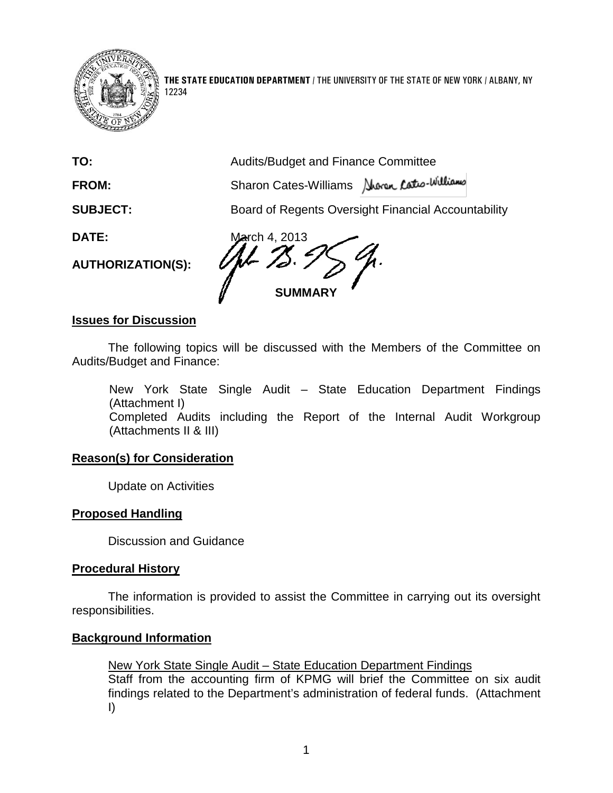

12234

**THE STATE EDUCATION DEPARTMENT** / THE UNIVERSITY OF THE STATE OF NEW YORK / ALBANY, NY

| TO:                      | <b>Audits/Budget and Finance Committee</b>          |
|--------------------------|-----------------------------------------------------|
| <b>FROM:</b>             | Sharon Cates-Williams Awren Cates-Williams          |
| <b>SUBJECT:</b>          | Board of Regents Oversight Financial Accountability |
| <b>DATE:</b>             | March 4, 2013                                       |
| <b>AUTHORIZATION(S):</b> | <b>SUMMARY</b>                                      |
| lesuse fex Dissussien    |                                                     |

#### **Issues for Discussion**

The following topics will be discussed with the Members of the Committee on Audits/Budget and Finance:

New York State Single Audit – State Education Department Findings (Attachment I) Completed Audits including the Report of the Internal Audit Workgroup (Attachments II & III)

# **Reason(s) for Consideration**

Update on Activities

# **Proposed Handling**

Discussion and Guidance

#### **Procedural History**

The information is provided to assist the Committee in carrying out its oversight responsibilities.

# **Background Information**

New York State Single Audit – State Education Department Findings Staff from the accounting firm of KPMG will brief the Committee on six audit findings related to the Department's administration of federal funds. (Attachment I)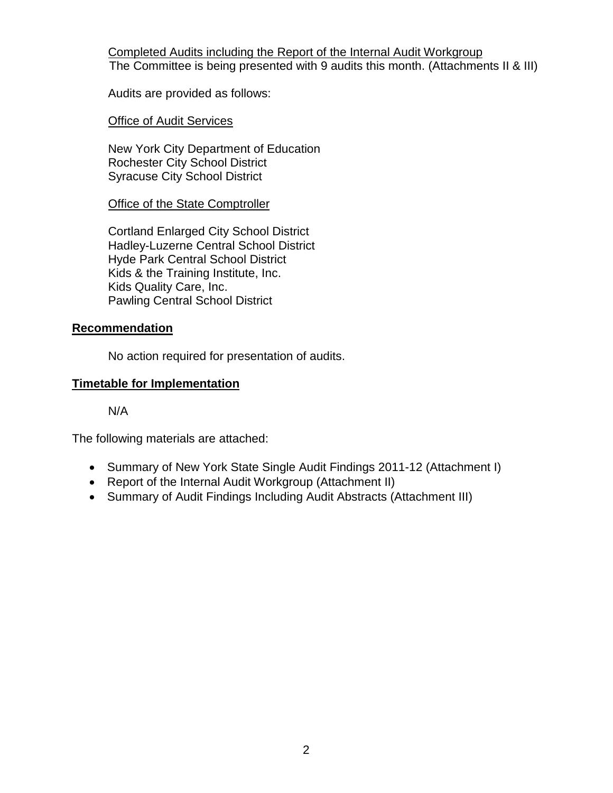Completed Audits including the Report of the Internal Audit Workgroup The Committee is being presented with 9 audits this month. (Attachments II & III)

Audits are provided as follows:

**Office of Audit Services** 

New York City Department of Education Rochester City School District Syracuse City School District

**Office of the State Comptroller** 

Cortland Enlarged City School District Hadley-Luzerne Central School District Hyde Park Central School District Kids & the Training Institute, Inc. Kids Quality Care, Inc. Pawling Central School District

# **Recommendation**

No action required for presentation of audits.

# **Timetable for Implementation**

N/A

The following materials are attached:

- Summary of New York State Single Audit Findings 2011-12 (Attachment I)
- Report of the Internal Audit Workgroup (Attachment II)
- Summary of Audit Findings Including Audit Abstracts (Attachment III)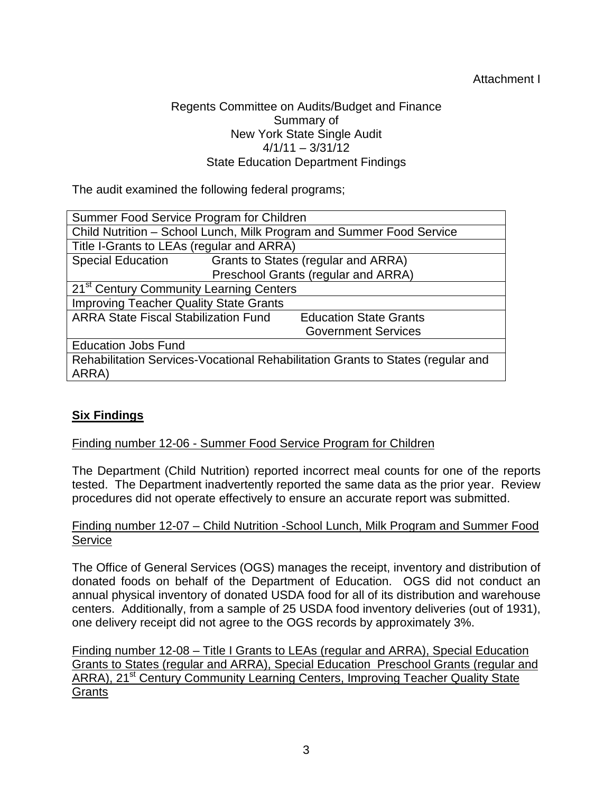# Attachment I

# Regents Committee on Audits/Budget and Finance Summary of New York State Single Audit  $4/1/11 - 3/31/12$ State Education Department Findings

The audit examined the following federal programs;

| Summer Food Service Program for Children                                        |                                           |                               |  |  |
|---------------------------------------------------------------------------------|-------------------------------------------|-------------------------------|--|--|
| Child Nutrition - School Lunch, Milk Program and Summer Food Service            |                                           |                               |  |  |
|                                                                                 | Title I-Grants to LEAs (regular and ARRA) |                               |  |  |
| <b>Special Education</b>                                                        | Grants to States (regular and ARRA)       |                               |  |  |
|                                                                                 | Preschool Grants (regular and ARRA)       |                               |  |  |
| 21 <sup>st</sup> Century Community Learning Centers                             |                                           |                               |  |  |
| <b>Improving Teacher Quality State Grants</b>                                   |                                           |                               |  |  |
| <b>ARRA State Fiscal Stabilization Fund</b>                                     |                                           | <b>Education State Grants</b> |  |  |
|                                                                                 |                                           | <b>Government Services</b>    |  |  |
| <b>Education Jobs Fund</b>                                                      |                                           |                               |  |  |
| Rehabilitation Services-Vocational Rehabilitation Grants to States (regular and |                                           |                               |  |  |
| ARRA)                                                                           |                                           |                               |  |  |

# **Six Findings**

# Finding number 12-06 - Summer Food Service Program for Children

The Department (Child Nutrition) reported incorrect meal counts for one of the reports tested. The Department inadvertently reported the same data as the prior year. Review procedures did not operate effectively to ensure an accurate report was submitted.

# Finding number 12-07 – Child Nutrition -School Lunch, Milk Program and Summer Food Service

The Office of General Services (OGS) manages the receipt, inventory and distribution of donated foods on behalf of the Department of Education. OGS did not conduct an annual physical inventory of donated USDA food for all of its distribution and warehouse centers. Additionally, from a sample of 25 USDA food inventory deliveries (out of 1931), one delivery receipt did not agree to the OGS records by approximately 3%.

Finding number 12-08 – Title I Grants to LEAs (regular and ARRA), Special Education Grants to States (regular and ARRA), Special Education Preschool Grants (regular and ARRA), 21<sup>st</sup> Century Community Learning Centers, Improving Teacher Quality State **Grants**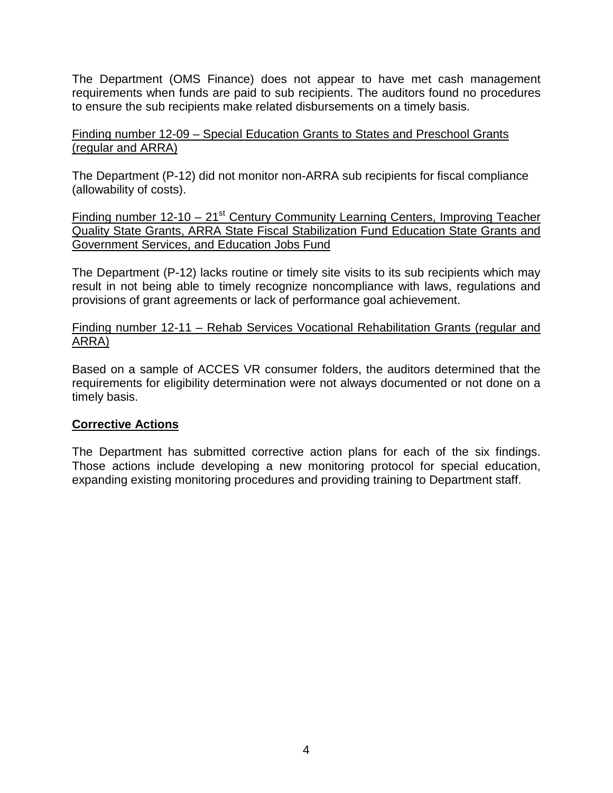The Department (OMS Finance) does not appear to have met cash management requirements when funds are paid to sub recipients. The auditors found no procedures to ensure the sub recipients make related disbursements on a timely basis.

Finding number 12-09 – Special Education Grants to States and Preschool Grants (regular and ARRA)

The Department (P-12) did not monitor non-ARRA sub recipients for fiscal compliance (allowability of costs).

Finding number  $12{\text -}10 - 21^{\text{st}}$  Century Community Learning Centers, Improving Teacher Quality State Grants, ARRA State Fiscal Stabilization Fund Education State Grants and Government Services, and Education Jobs Fund

The Department (P-12) lacks routine or timely site visits to its sub recipients which may result in not being able to timely recognize noncompliance with laws, regulations and provisions of grant agreements or lack of performance goal achievement.

Finding number 12-11 – Rehab Services Vocational Rehabilitation Grants (regular and ARRA)

Based on a sample of ACCES VR consumer folders, the auditors determined that the requirements for eligibility determination were not always documented or not done on a timely basis.

# **Corrective Actions**

The Department has submitted corrective action plans for each of the six findings. Those actions include developing a new monitoring protocol for special education, expanding existing monitoring procedures and providing training to Department staff.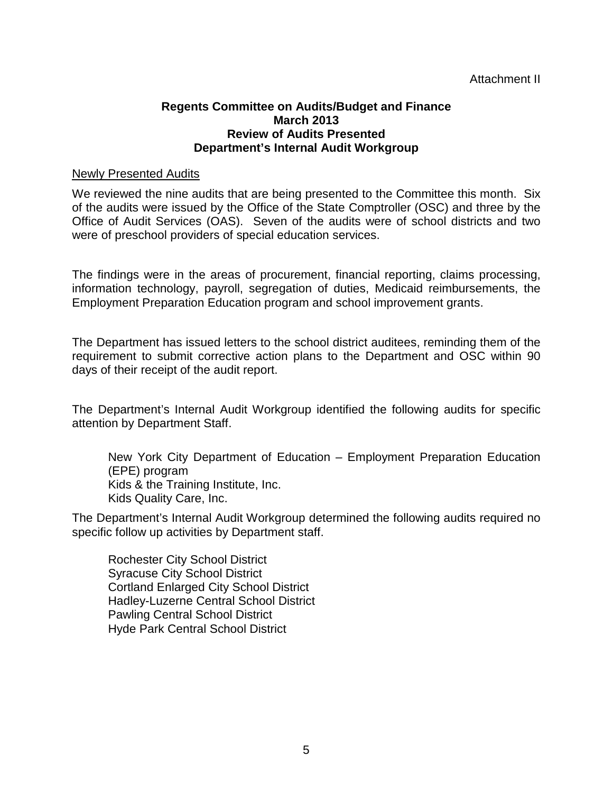#### Attachment II

#### **Regents Committee on Audits/Budget and Finance March 2013 Review of Audits Presented Department's Internal Audit Workgroup**

#### Newly Presented Audits

We reviewed the nine audits that are being presented to the Committee this month. Six of the audits were issued by the Office of the State Comptroller (OSC) and three by the Office of Audit Services (OAS). Seven of the audits were of school districts and two were of preschool providers of special education services.

The findings were in the areas of procurement, financial reporting, claims processing, information technology, payroll, segregation of duties, Medicaid reimbursements, the Employment Preparation Education program and school improvement grants.

The Department has issued letters to the school district auditees, reminding them of the requirement to submit corrective action plans to the Department and OSC within 90 days of their receipt of the audit report.

The Department's Internal Audit Workgroup identified the following audits for specific attention by Department Staff.

New York City Department of Education – Employment Preparation Education (EPE) program Kids & the Training Institute, Inc. Kids Quality Care, Inc.

The Department's Internal Audit Workgroup determined the following audits required no specific follow up activities by Department staff.

Rochester City School District Syracuse City School District Cortland Enlarged City School District Hadley-Luzerne Central School District Pawling Central School District Hyde Park Central School District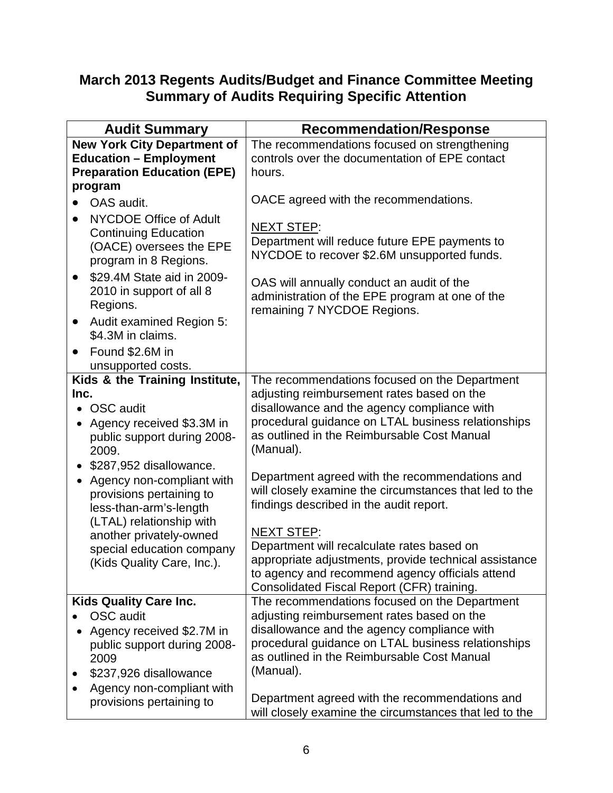# **March 2013 Regents Audits/Budget and Finance Committee Meeting Summary of Audits Requiring Specific Attention**

| <b>Audit Summary</b>                                                                                                                                                                                | <b>Recommendation/Response</b>                                                                                                                             |
|-----------------------------------------------------------------------------------------------------------------------------------------------------------------------------------------------------|------------------------------------------------------------------------------------------------------------------------------------------------------------|
| <b>New York City Department of</b>                                                                                                                                                                  | The recommendations focused on strengthening                                                                                                               |
| <b>Education - Employment</b>                                                                                                                                                                       | controls over the documentation of EPE contact                                                                                                             |
| <b>Preparation Education (EPE)</b>                                                                                                                                                                  | hours.                                                                                                                                                     |
| program<br>OAS audit.<br>$\bullet$<br><b>NYCDOE Office of Adult</b><br>$\bullet$<br><b>Continuing Education</b><br>(OACE) oversees the EPE<br>program in 8 Regions.                                 | OACE agreed with the recommendations.<br><b>NEXT STEP:</b><br>Department will reduce future EPE payments to<br>NYCDOE to recover \$2.6M unsupported funds. |
| \$29.4M State aid in 2009-<br>$\bullet$<br>2010 in support of all 8<br>Regions.<br>Audit examined Region 5:<br>$\bullet$<br>\$4.3M in claims.<br>Found \$2.6M in<br>$\bullet$<br>unsupported costs. | OAS will annually conduct an audit of the<br>administration of the EPE program at one of the<br>remaining 7 NYCDOE Regions.                                |
| Kids & the Training Institute,                                                                                                                                                                      | The recommendations focused on the Department                                                                                                              |
| Inc.                                                                                                                                                                                                | adjusting reimbursement rates based on the                                                                                                                 |
| <b>OSC</b> audit                                                                                                                                                                                    | disallowance and the agency compliance with                                                                                                                |
| Agency received \$3.3M in                                                                                                                                                                           | procedural guidance on LTAL business relationships                                                                                                         |
| public support during 2008-                                                                                                                                                                         | as outlined in the Reimbursable Cost Manual                                                                                                                |
| 2009.                                                                                                                                                                                               | (Manual).                                                                                                                                                  |
| \$287,952 disallowance.                                                                                                                                                                             | Department agreed with the recommendations and                                                                                                             |
| Agency non-compliant with                                                                                                                                                                           | will closely examine the circumstances that led to the                                                                                                     |
| provisions pertaining to                                                                                                                                                                            | findings described in the audit report.                                                                                                                    |
| less-than-arm's-length                                                                                                                                                                              | <b>NEXT STEP:</b>                                                                                                                                          |
| (LTAL) relationship with                                                                                                                                                                            | Department will recalculate rates based on                                                                                                                 |
| another privately-owned                                                                                                                                                                             | appropriate adjustments, provide technical assistance                                                                                                      |
| special education company                                                                                                                                                                           | to agency and recommend agency officials attend                                                                                                            |
| (Kids Quality Care, Inc.).                                                                                                                                                                          | Consolidated Fiscal Report (CFR) training.                                                                                                                 |
| <b>Kids Quality Care Inc.</b>                                                                                                                                                                       | The recommendations focused on the Department                                                                                                              |
| OSC audit                                                                                                                                                                                           | adjusting reimbursement rates based on the                                                                                                                 |
| Agency received \$2.7M in                                                                                                                                                                           | disallowance and the agency compliance with                                                                                                                |
| public support during 2008-                                                                                                                                                                         | procedural guidance on LTAL business relationships                                                                                                         |
| 2009                                                                                                                                                                                                | as outlined in the Reimbursable Cost Manual                                                                                                                |
| \$237,926 disallowance                                                                                                                                                                              | (Manual).                                                                                                                                                  |
| Agency non-compliant with                                                                                                                                                                           | Department agreed with the recommendations and                                                                                                             |
| provisions pertaining to                                                                                                                                                                            | will closely examine the circumstances that led to the                                                                                                     |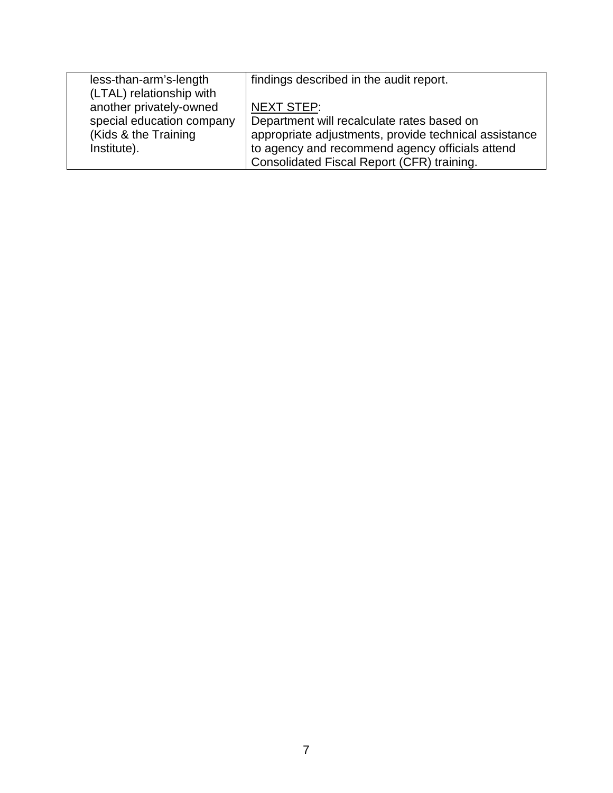| less-than-arm's-length    | findings described in the audit report.               |
|---------------------------|-------------------------------------------------------|
| (LTAL) relationship with  |                                                       |
| another privately-owned   | <b>NEXT STEP:</b>                                     |
| special education company | Department will recalculate rates based on            |
| (Kids & the Training      | appropriate adjustments, provide technical assistance |
| Institute).               | to agency and recommend agency officials attend       |
|                           | Consolidated Fiscal Report (CFR) training.            |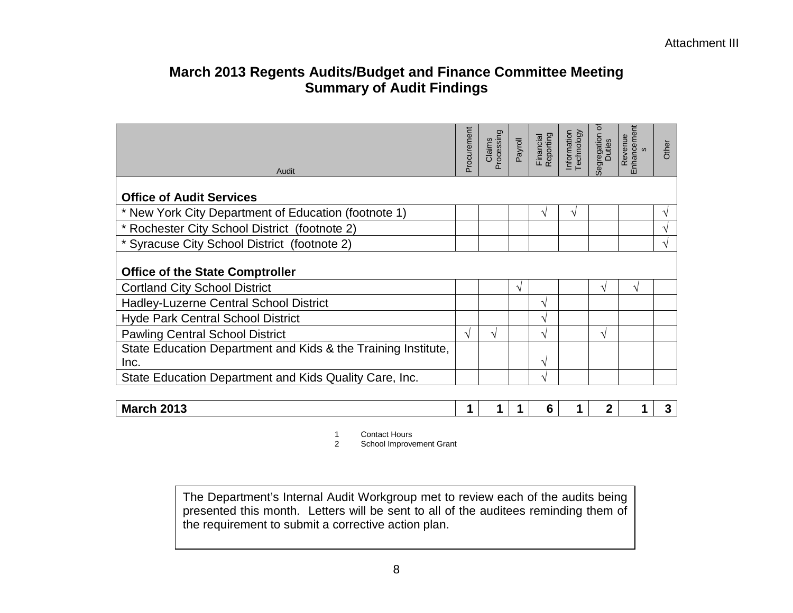# **March 2013 Regents Audits/Budget and Finance Committee Meeting Summary of Audit Findings**

| Audit                                                                 | Procurement | Processing<br>Claims | Payroll       | Financial<br>Reporting | Information<br>Technology | Ó<br>Segregation | Enhancement<br>Revenue<br>$\omega$ | Other |
|-----------------------------------------------------------------------|-------------|----------------------|---------------|------------------------|---------------------------|------------------|------------------------------------|-------|
| <b>Office of Audit Services</b>                                       |             |                      |               |                        |                           |                  |                                    |       |
| * New York City Department of Education (footnote 1)                  |             |                      |               | ٦                      | ٦                         |                  |                                    |       |
| * Rochester City School District (footnote 2)                         |             |                      |               |                        |                           |                  |                                    |       |
| * Syracuse City School District (footnote 2)                          |             |                      |               |                        |                           |                  |                                    |       |
| <b>Office of the State Comptroller</b>                                |             |                      |               |                        |                           |                  |                                    |       |
| <b>Cortland City School District</b>                                  |             |                      | $\mathcal{N}$ |                        |                           | $\mathbf{v}$     | V                                  |       |
| Hadley-Luzerne Central School District                                |             |                      |               | V                      |                           |                  |                                    |       |
| <b>Hyde Park Central School District</b>                              |             |                      |               | V                      |                           |                  |                                    |       |
| <b>Pawling Central School District</b>                                | V           | V                    |               | V                      |                           | V                |                                    |       |
| State Education Department and Kids & the Training Institute,<br>Inc. |             |                      |               | V                      |                           |                  |                                    |       |
| State Education Department and Kids Quality Care, Inc.                |             |                      |               | V                      |                           |                  |                                    |       |
|                                                                       |             |                      |               |                        |                           |                  |                                    |       |
| <b>March 2013</b>                                                     | 1           |                      |               | 6                      |                           | $\overline{2}$   |                                    | 3     |

1 Contact Hours<br>2 School Improve

School Improvement Grant

The Department's Internal Audit Workgroup met to review each of the audits being presented this month. Letters will be sent to all of the auditees reminding them of the requirement to submit a corrective action plan.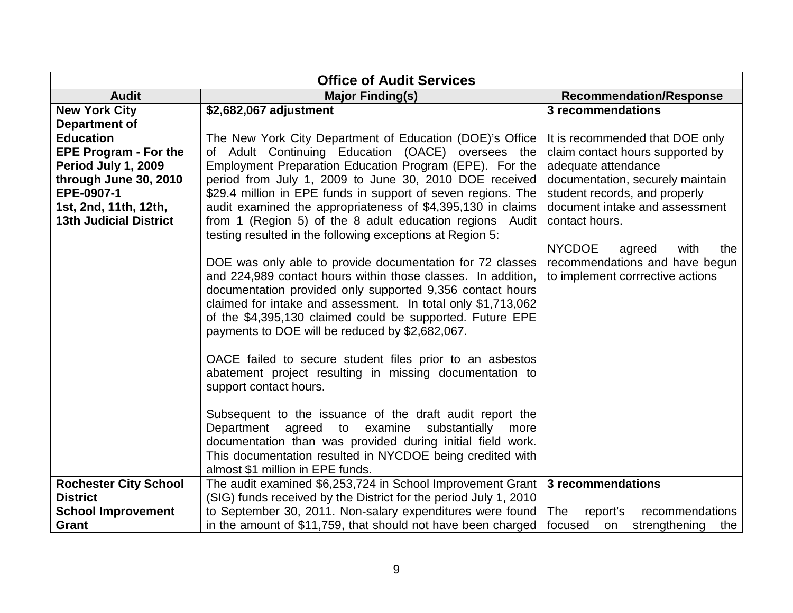| <b>Office of Audit Services</b>                                                                                                                                          |                                                                                                                                                                                                                                                                                                                                                                                                                                                                                                                         |                                                                                                                                                                                                                     |  |  |  |
|--------------------------------------------------------------------------------------------------------------------------------------------------------------------------|-------------------------------------------------------------------------------------------------------------------------------------------------------------------------------------------------------------------------------------------------------------------------------------------------------------------------------------------------------------------------------------------------------------------------------------------------------------------------------------------------------------------------|---------------------------------------------------------------------------------------------------------------------------------------------------------------------------------------------------------------------|--|--|--|
| <b>Audit</b>                                                                                                                                                             | <b>Major Finding(s)</b>                                                                                                                                                                                                                                                                                                                                                                                                                                                                                                 | <b>Recommendation/Response</b>                                                                                                                                                                                      |  |  |  |
| <b>New York City</b><br><b>Department of</b>                                                                                                                             | \$2,682,067 adjustment                                                                                                                                                                                                                                                                                                                                                                                                                                                                                                  | 3 recommendations                                                                                                                                                                                                   |  |  |  |
| <b>Education</b><br><b>EPE Program - For the</b><br>Period July 1, 2009<br>through June 30, 2010<br>EPE-0907-1<br>1st, 2nd, 11th, 12th,<br><b>13th Judicial District</b> | The New York City Department of Education (DOE)'s Office<br>of Adult Continuing Education (OACE) oversees the<br>Employment Preparation Education Program (EPE). For the<br>period from July 1, 2009 to June 30, 2010 DOE received<br>\$29.4 million in EPE funds in support of seven regions. The<br>audit examined the appropriateness of \$4,395,130 in claims<br>from 1 (Region 5) of the 8 adult education regions Audit<br>testing resulted in the following exceptions at Region 5:                              | It is recommended that DOE only<br>claim contact hours supported by<br>adequate attendance<br>documentation, securely maintain<br>student records, and properly<br>document intake and assessment<br>contact hours. |  |  |  |
|                                                                                                                                                                          | DOE was only able to provide documentation for 72 classes<br>and 224,989 contact hours within those classes. In addition,<br>documentation provided only supported 9,356 contact hours<br>claimed for intake and assessment. In total only \$1,713,062<br>of the \$4,395,130 claimed could be supported. Future EPE<br>payments to DOE will be reduced by \$2,682,067.<br>OACE failed to secure student files prior to an asbestos<br>abatement project resulting in missing documentation to<br>support contact hours. | <b>NYCDOE</b><br>with<br>agreed<br>the<br>recommendations and have begun<br>to implement corrrective actions                                                                                                        |  |  |  |
|                                                                                                                                                                          | Subsequent to the issuance of the draft audit report the<br>Department agreed to examine<br>substantially<br>more<br>documentation than was provided during initial field work.<br>This documentation resulted in NYCDOE being credited with<br>almost \$1 million in EPE funds.                                                                                                                                                                                                                                        |                                                                                                                                                                                                                     |  |  |  |
| <b>Rochester City School</b><br><b>District</b><br><b>School Improvement</b>                                                                                             | The audit examined \$6,253,724 in School Improvement Grant<br>(SIG) funds received by the District for the period July 1, 2010<br>to September 30, 2011. Non-salary expenditures were found                                                                                                                                                                                                                                                                                                                             | 3 recommendations<br>The<br>recommendations<br>report's                                                                                                                                                             |  |  |  |
| Grant                                                                                                                                                                    | in the amount of \$11,759, that should not have been charged                                                                                                                                                                                                                                                                                                                                                                                                                                                            | focused<br>strengthening<br>on<br>the                                                                                                                                                                               |  |  |  |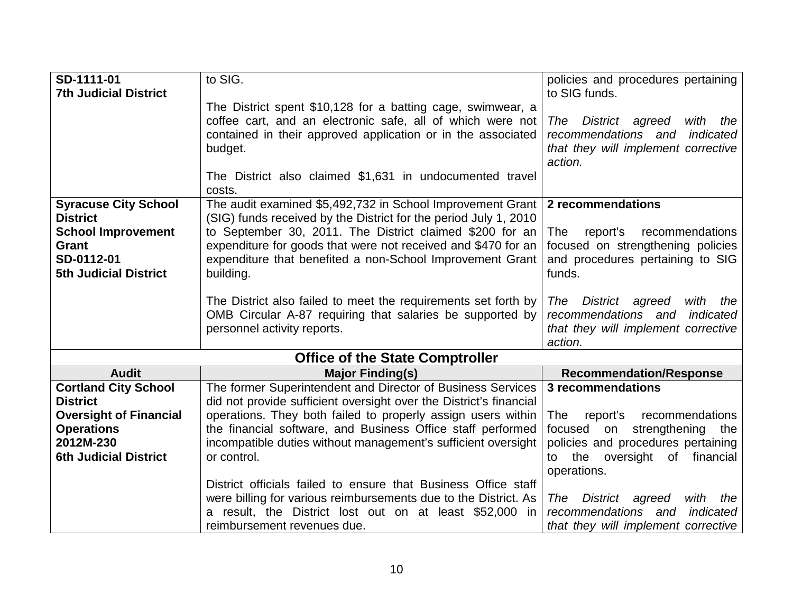| SD-1111-01                    | to SIG.                                                                                                                     | policies and procedures pertaining                                        |
|-------------------------------|-----------------------------------------------------------------------------------------------------------------------------|---------------------------------------------------------------------------|
| <b>7th Judicial District</b>  |                                                                                                                             | to SIG funds.                                                             |
|                               | The District spent \$10,128 for a batting cage, swimwear, a                                                                 |                                                                           |
|                               | coffee cart, and an electronic safe, all of which were not                                                                  | District agreed<br>The<br>with<br>the                                     |
|                               |                                                                                                                             | recommendations and<br>indicated                                          |
|                               | contained in their approved application or in the associated                                                                | that they will implement corrective                                       |
|                               | budget.                                                                                                                     | action.                                                                   |
|                               |                                                                                                                             |                                                                           |
|                               | The District also claimed \$1,631 in undocumented travel                                                                    |                                                                           |
|                               | costs.                                                                                                                      |                                                                           |
| <b>Syracuse City School</b>   | The audit examined \$5,492,732 in School Improvement Grant                                                                  | 2 recommendations                                                         |
| <b>District</b>               | (SIG) funds received by the District for the period July 1, 2010                                                            |                                                                           |
| <b>School Improvement</b>     | to September 30, 2011. The District claimed \$200 for an                                                                    | The<br>report's<br>recommendations                                        |
| Grant                         | expenditure for goods that were not received and \$470 for an                                                               | focused on strengthening policies                                         |
| SD-0112-01                    | expenditure that benefited a non-School Improvement Grant                                                                   | and procedures pertaining to SIG                                          |
| <b>5th Judicial District</b>  | building.                                                                                                                   | funds.                                                                    |
|                               |                                                                                                                             |                                                                           |
|                               | The District also failed to meet the requirements set forth by<br>OMB Circular A-87 requiring that salaries be supported by | District agreed<br>with<br>The<br>the<br>recommendations and<br>indicated |
|                               |                                                                                                                             |                                                                           |
|                               | personnel activity reports.                                                                                                 | that they will implement corrective<br>action.                            |
|                               |                                                                                                                             |                                                                           |
|                               | <b>Office of the State Comptroller</b>                                                                                      |                                                                           |
| <b>Audit</b>                  | <b>Major Finding(s)</b>                                                                                                     | <b>Recommendation/Response</b>                                            |
| <b>Cortland City School</b>   | The former Superintendent and Director of Business Services                                                                 | 3 recommendations                                                         |
| <b>District</b>               | did not provide sufficient oversight over the District's financial                                                          |                                                                           |
| <b>Oversight of Financial</b> | operations. They both failed to properly assign users within                                                                | report's<br>recommendations<br>The                                        |
| <b>Operations</b>             | the financial software, and Business Office staff performed                                                                 | strengthening<br>focused<br>on<br>the                                     |
| 2012M-230                     | incompatible duties without management's sufficient oversight                                                               | policies and procedures pertaining                                        |
| <b>6th Judicial District</b>  | or control.                                                                                                                 | the oversight of financial<br>to                                          |
|                               |                                                                                                                             | operations.                                                               |
|                               | District officials failed to ensure that Business Office staff                                                              |                                                                           |
|                               | were billing for various reimbursements due to the District. As                                                             | The<br>District agreed<br>with<br>the                                     |
|                               | a result, the District lost out on at least \$52,000 in                                                                     | recommendations and<br>indicated                                          |
|                               | reimbursement revenues due.                                                                                                 | that they will implement corrective                                       |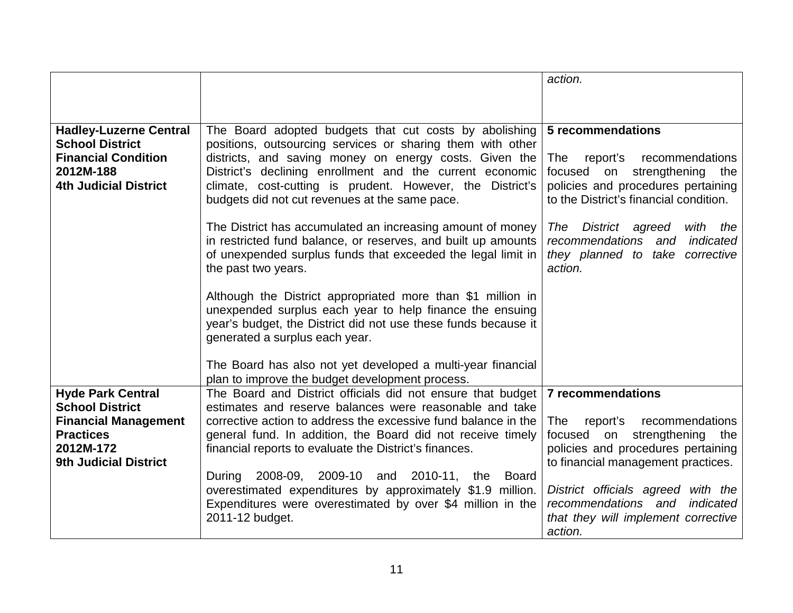|                                                                                                                                    |                                                                                                                                                                                                                                                                                                         | action.                                                                                                                                                 |
|------------------------------------------------------------------------------------------------------------------------------------|---------------------------------------------------------------------------------------------------------------------------------------------------------------------------------------------------------------------------------------------------------------------------------------------------------|---------------------------------------------------------------------------------------------------------------------------------------------------------|
|                                                                                                                                    |                                                                                                                                                                                                                                                                                                         |                                                                                                                                                         |
|                                                                                                                                    |                                                                                                                                                                                                                                                                                                         |                                                                                                                                                         |
| <b>Hadley-Luzerne Central</b><br><b>School District</b><br><b>Financial Condition</b><br>2012M-188<br><b>4th Judicial District</b> | The Board adopted budgets that cut costs by abolishing<br>positions, outsourcing services or sharing them with other<br>districts, and saving money on energy costs. Given the<br>District's declining enrollment and the current economic<br>climate, cost-cutting is prudent. However, the District's | 5 recommendations<br>report's<br>The<br>recommendations<br>strengthening<br>focused<br>on<br>the<br>policies and procedures pertaining                  |
|                                                                                                                                    | budgets did not cut revenues at the same pace.                                                                                                                                                                                                                                                          | to the District's financial condition.                                                                                                                  |
|                                                                                                                                    | The District has accumulated an increasing amount of money<br>in restricted fund balance, or reserves, and built up amounts<br>of unexpended surplus funds that exceeded the legal limit in<br>the past two years.                                                                                      | The<br>District agreed<br>with<br>the<br>recommendations<br>indicated<br>and<br>they planned to take corrective<br>action.                              |
|                                                                                                                                    | Although the District appropriated more than \$1 million in<br>unexpended surplus each year to help finance the ensuing<br>year's budget, the District did not use these funds because it<br>generated a surplus each year.                                                                             |                                                                                                                                                         |
|                                                                                                                                    | The Board has also not yet developed a multi-year financial<br>plan to improve the budget development process.                                                                                                                                                                                          |                                                                                                                                                         |
| <b>Hyde Park Central</b>                                                                                                           | The Board and District officials did not ensure that budget                                                                                                                                                                                                                                             | <b>7 recommendations</b>                                                                                                                                |
| <b>School District</b><br><b>Financial Management</b><br><b>Practices</b><br>2012M-172<br><b>9th Judicial District</b>             | estimates and reserve balances were reasonable and take<br>corrective action to address the excessive fund balance in the<br>general fund. In addition, the Board did not receive timely<br>financial reports to evaluate the District's finances.                                                      | The<br>report's<br>recommendations<br>focused<br>strengthening<br>on<br>the<br>policies and procedures pertaining<br>to financial management practices. |
|                                                                                                                                    | 2008-09, 2009-10 and 2010-11, the<br>During<br>Board<br>overestimated expenditures by approximately \$1.9 million.<br>Expenditures were overestimated by over \$4 million in the<br>2011-12 budget.                                                                                                     | District officials agreed with the<br>recommendations and<br>indicated<br>that they will implement corrective<br>action.                                |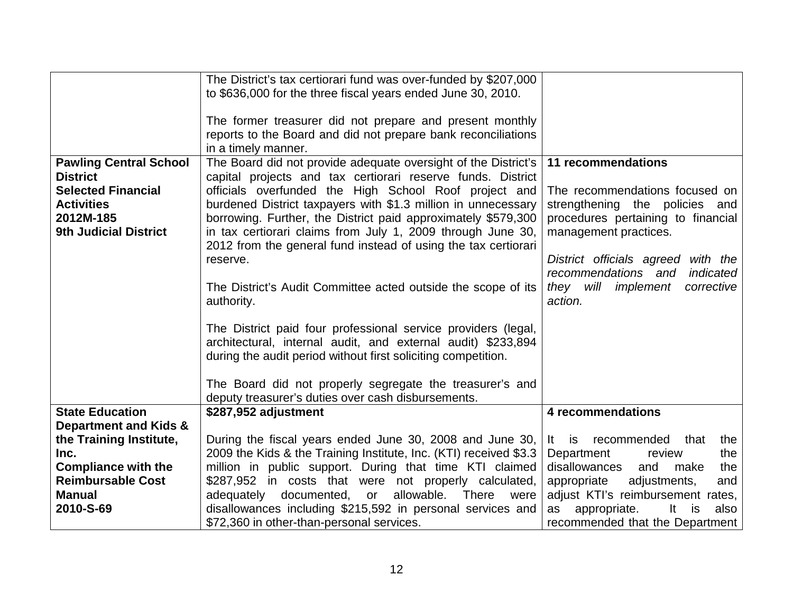|                                  | The District's tax certiorari fund was over-funded by \$207,000    |                                        |
|----------------------------------|--------------------------------------------------------------------|----------------------------------------|
|                                  | to \$636,000 for the three fiscal years ended June 30, 2010.       |                                        |
|                                  |                                                                    |                                        |
|                                  | The former treasurer did not prepare and present monthly           |                                        |
|                                  | reports to the Board and did not prepare bank reconciliations      |                                        |
|                                  | in a timely manner.                                                |                                        |
| <b>Pawling Central School</b>    | The Board did not provide adequate oversight of the District's     | 11 recommendations                     |
| <b>District</b>                  | capital projects and tax certiorari reserve funds. District        |                                        |
| <b>Selected Financial</b>        | officials overfunded the High School Roof project and              | The recommendations focused on         |
| <b>Activities</b>                | burdened District taxpayers with \$1.3 million in unnecessary      | strengthening the policies and         |
| 2012M-185                        | borrowing. Further, the District paid approximately \$579,300      | procedures pertaining to financial     |
| <b>9th Judicial District</b>     | in tax certiorari claims from July 1, 2009 through June 30,        | management practices.                  |
|                                  | 2012 from the general fund instead of using the tax certiorari     |                                        |
|                                  | reserve.                                                           | District officials agreed with the     |
|                                  |                                                                    | recommendations and<br>indicated       |
|                                  | The District's Audit Committee acted outside the scope of its      | they will<br>implement<br>corrective   |
|                                  | authority.                                                         | action.                                |
|                                  |                                                                    |                                        |
|                                  | The District paid four professional service providers (legal,      |                                        |
|                                  | architectural, internal audit, and external audit) \$233,894       |                                        |
|                                  | during the audit period without first soliciting competition.      |                                        |
|                                  |                                                                    |                                        |
|                                  | The Board did not properly segregate the treasurer's and           |                                        |
|                                  | deputy treasurer's duties over cash disbursements.                 |                                        |
| <b>State Education</b>           | \$287,952 adjustment                                               | 4 recommendations                      |
| <b>Department and Kids &amp;</b> |                                                                    |                                        |
| the Training Institute,          | During the fiscal years ended June 30, 2008 and June 30,           | recommended<br>It is<br>that<br>the    |
| Inc.                             | 2009 the Kids & the Training Institute, Inc. (KTI) received \$3.3  | Department<br>the<br>review            |
| <b>Compliance with the</b>       | million in public support. During that time KTI claimed            | disallowances<br>and<br>make<br>the    |
| <b>Reimbursable Cost</b>         | \$287,952 in costs that were not properly calculated,              | adjustments,<br>appropriate<br>and     |
| <b>Manual</b>                    | documented, or<br>allowable.<br>adequately<br><b>There</b><br>were | adjust KTI's reimbursement rates,      |
| 2010-S-69                        | disallowances including \$215,592 in personal services and         | appropriate.<br>It<br>is<br>also<br>as |
|                                  | \$72,360 in other-than-personal services.                          | recommended that the Department        |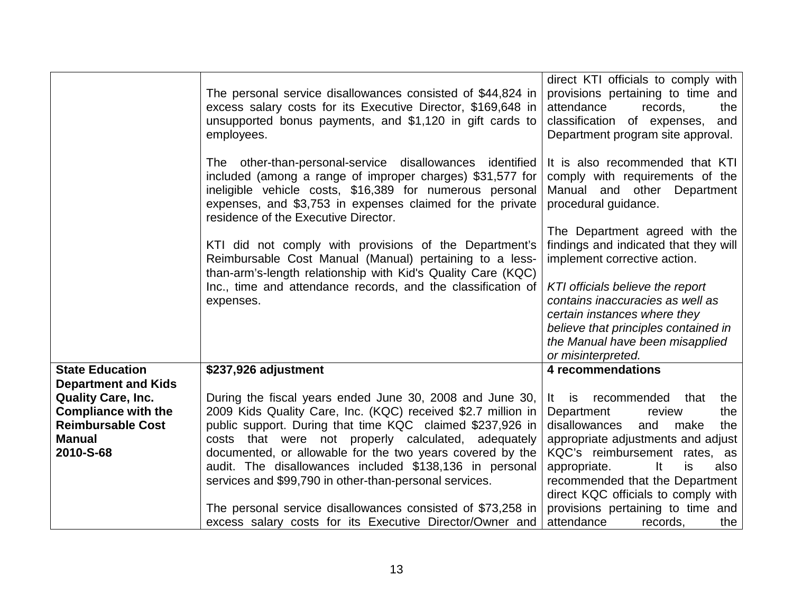|                                                                                                                                                 | The personal service disallowances consisted of \$44,824 in<br>excess salary costs for its Executive Director, \$169,648 in<br>unsupported bonus payments, and \$1,120 in gift cards to<br>employees.                                                                                                                                                                                                                                                                                         | direct KTI officials to comply with<br>provisions pertaining to time and<br>attendance<br>records,<br>the<br>classification of expenses,<br>and<br>Department program site approval.                                                                                                                                                           |
|-------------------------------------------------------------------------------------------------------------------------------------------------|-----------------------------------------------------------------------------------------------------------------------------------------------------------------------------------------------------------------------------------------------------------------------------------------------------------------------------------------------------------------------------------------------------------------------------------------------------------------------------------------------|------------------------------------------------------------------------------------------------------------------------------------------------------------------------------------------------------------------------------------------------------------------------------------------------------------------------------------------------|
|                                                                                                                                                 | The other-than-personal-service disallowances identified<br>included (among a range of improper charges) \$31,577 for<br>ineligible vehicle costs, \$16,389 for numerous personal<br>expenses, and \$3,753 in expenses claimed for the private<br>residence of the Executive Director.                                                                                                                                                                                                        | It is also recommended that KTI<br>comply with requirements of the<br>Manual and other Department<br>procedural guidance.                                                                                                                                                                                                                      |
|                                                                                                                                                 | KTI did not comply with provisions of the Department's<br>Reimbursable Cost Manual (Manual) pertaining to a less-<br>than-arm's-length relationship with Kid's Quality Care (KQC)                                                                                                                                                                                                                                                                                                             | The Department agreed with the<br>findings and indicated that they will<br>implement corrective action.                                                                                                                                                                                                                                        |
|                                                                                                                                                 | Inc., time and attendance records, and the classification of<br>expenses.                                                                                                                                                                                                                                                                                                                                                                                                                     | KTI officials believe the report<br>contains inaccuracies as well as<br>certain instances where they<br>believe that principles contained in<br>the Manual have been misapplied<br>or misinterpreted.                                                                                                                                          |
| <b>State Education</b>                                                                                                                          | \$237,926 adjustment                                                                                                                                                                                                                                                                                                                                                                                                                                                                          | 4 recommendations                                                                                                                                                                                                                                                                                                                              |
| <b>Department and Kids</b><br><b>Quality Care, Inc.</b><br><b>Compliance with the</b><br><b>Reimbursable Cost</b><br><b>Manual</b><br>2010-S-68 | During the fiscal years ended June 30, 2008 and June 30,<br>2009 Kids Quality Care, Inc. (KQC) received \$2.7 million in<br>public support. During that time KQC claimed \$237,926 in<br>costs that were not properly calculated, adequately<br>documented, or allowable for the two years covered by the<br>audit. The disallowances included \$138,136 in personal<br>services and \$99,790 in other-than-personal services.<br>The personal service disallowances consisted of \$73,258 in | recommended<br>that<br>the<br>It is<br>Department<br>the<br>review<br>disallowances<br>and<br>make<br>the<br>appropriate adjustments and adjust<br>KQC's reimbursement rates, as<br>$\mathsf{It}$<br>appropriate.<br>is<br>also<br>recommended that the Department<br>direct KQC officials to comply with<br>provisions pertaining to time and |
|                                                                                                                                                 | excess salary costs for its Executive Director/Owner and                                                                                                                                                                                                                                                                                                                                                                                                                                      | attendance<br>the<br>records.                                                                                                                                                                                                                                                                                                                  |